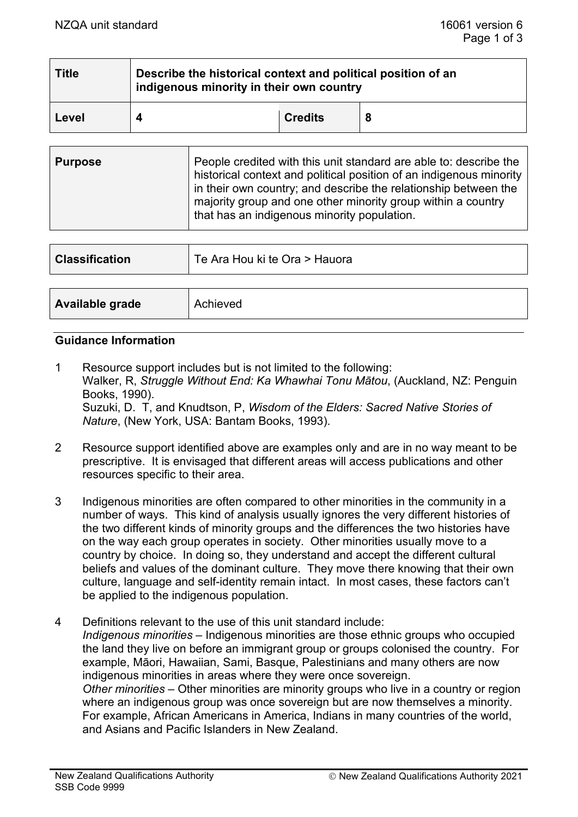| <b>Title</b> | Describe the historical context and political position of an<br>indigenous minority in their own country |                |  |  |
|--------------|----------------------------------------------------------------------------------------------------------|----------------|--|--|
| Level        |                                                                                                          | <b>Credits</b> |  |  |

| <b>Purpose</b> | People credited with this unit standard are able to: describe the<br>historical context and political position of an indigenous minority<br>in their own country; and describe the relationship between the<br>majority group and one other minority group within a country<br>that has an indigenous minority population. |
|----------------|----------------------------------------------------------------------------------------------------------------------------------------------------------------------------------------------------------------------------------------------------------------------------------------------------------------------------|
|                |                                                                                                                                                                                                                                                                                                                            |

| <b>Classification</b> | Te Ara Hou ki te Ora > Hauora |
|-----------------------|-------------------------------|
|                       |                               |
| Available grade       | Achieved                      |

#### **Guidance Information**

1 Resource support includes but is not limited to the following: Walker, R, *Struggle Without End: Ka Whawhai Tonu Mātou*, (Auckland, NZ: Penguin Books, 1990). Suzuki, D. T, and Knudtson, P, *Wisdom of the Elders: Sacred Native Stories of Nature*, (New York, USA: Bantam Books, 1993).

- 2 Resource support identified above are examples only and are in no way meant to be prescriptive. It is envisaged that different areas will access publications and other resources specific to their area.
- 3 Indigenous minorities are often compared to other minorities in the community in a number of ways. This kind of analysis usually ignores the very different histories of the two different kinds of minority groups and the differences the two histories have on the way each group operates in society. Other minorities usually move to a country by choice. In doing so, they understand and accept the different cultural beliefs and values of the dominant culture. They move there knowing that their own culture, language and self-identity remain intact. In most cases, these factors can't be applied to the indigenous population.
- 4 Definitions relevant to the use of this unit standard include: *Indigenous minorities* – Indigenous minorities are those ethnic groups who occupied the land they live on before an immigrant group or groups colonised the country. For example, Māori, Hawaiian, Sami, Basque, Palestinians and many others are now indigenous minorities in areas where they were once sovereign. *Other minorities* – Other minorities are minority groups who live in a country or region where an indigenous group was once sovereign but are now themselves a minority. For example, African Americans in America, Indians in many countries of the world, and Asians and Pacific Islanders in New Zealand.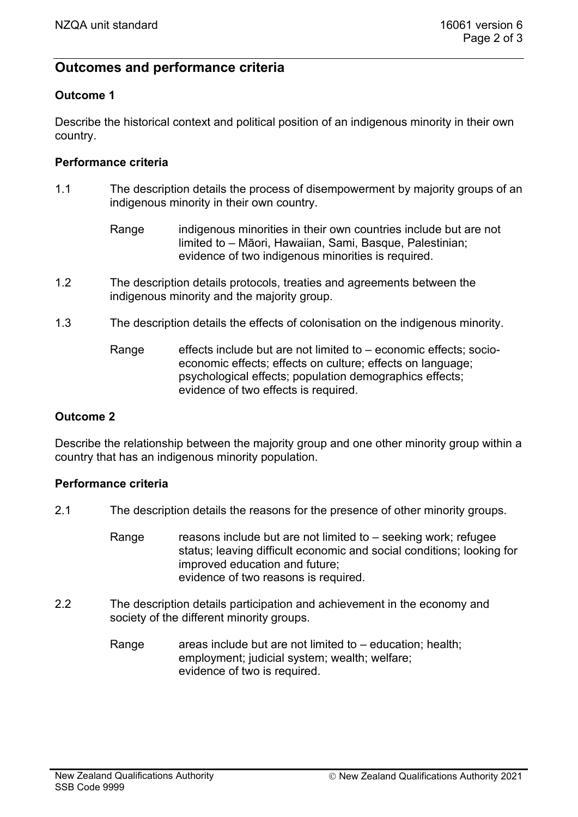# **Outcomes and performance criteria**

## **Outcome 1**

Describe the historical context and political position of an indigenous minority in their own country.

## **Performance criteria**

- 1.1 The description details the process of disempowerment by majority groups of an indigenous minority in their own country.
	- Range indigenous minorities in their own countries include but are not limited to – Māori, Hawaiian, Sami, Basque, Palestinian; evidence of two indigenous minorities is required.
- 1.2 The description details protocols, treaties and agreements between the indigenous minority and the majority group.
- 1.3 The description details the effects of colonisation on the indigenous minority.
	- Range effects include but are not limited to  $-$  economic effects; socioeconomic effects; effects on culture; effects on language; psychological effects; population demographics effects; evidence of two effects is required.

## **Outcome 2**

Describe the relationship between the majority group and one other minority group within a country that has an indigenous minority population.

## **Performance criteria**

- 2.1 The description details the reasons for the presence of other minority groups.
	- Range reasons include but are not limited to  $-$  seeking work; refugee status; leaving difficult economic and social conditions; looking for improved education and future; evidence of two reasons is required.
- 2.2 The description details participation and achievement in the economy and society of the different minority groups.
	- Range areas include but are not limited to  $-$  education; health; employment; judicial system; wealth; welfare; evidence of two is required.